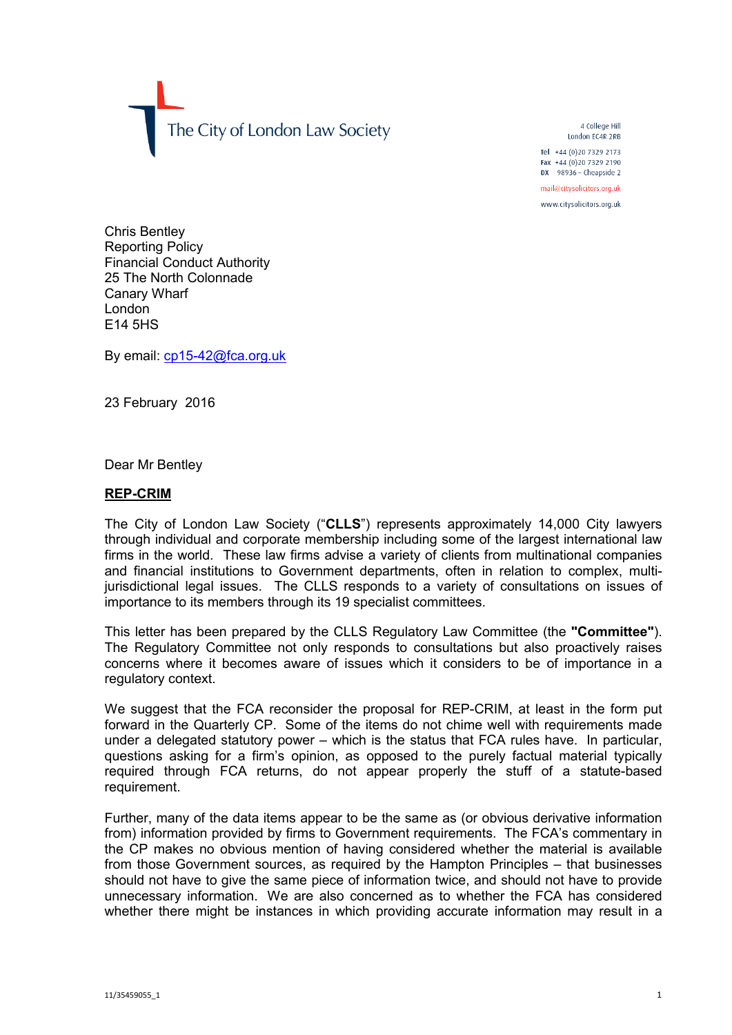The City of London Law Society

4 College Hill London FC4R 2RB

Tel +44 (0) 20 7329 2173 Fax +44 (0)20 7329 2190 DX  $98936$  - Cheapside 2

mail@citysolicitors.org.uk

www.citysolicitors.org.uk

Chris Bentley Reporting Policy Financial Conduct Authority 25 The North Colonnade Canary Wharf London E14 5HS

By email: [cp15-42@fca.org.uk](mailto:cp15-42@fca.org.uk)

23 February 2016

Dear Mr Bentley

## **REP-CRIM**

The City of London Law Society ("**CLLS**") represents approximately 14,000 City lawyers through individual and corporate membership including some of the largest international law firms in the world. These law firms advise a variety of clients from multinational companies and financial institutions to Government departments, often in relation to complex, multijurisdictional legal issues. The CLLS responds to a variety of consultations on issues of importance to its members through its 19 specialist committees.

This letter has been prepared by the CLLS Regulatory Law Committee (the **"Committee"**). The Regulatory Committee not only responds to consultations but also proactively raises concerns where it becomes aware of issues which it considers to be of importance in a regulatory context.

We suggest that the FCA reconsider the proposal for REP-CRIM, at least in the form put forward in the Quarterly CP. Some of the items do not chime well with requirements made under a delegated statutory power – which is the status that FCA rules have. In particular, questions asking for a firm's opinion, as opposed to the purely factual material typically required through FCA returns, do not appear properly the stuff of a statute-based requirement.

Further, many of the data items appear to be the same as (or obvious derivative information from) information provided by firms to Government requirements. The FCA's commentary in the CP makes no obvious mention of having considered whether the material is available from those Government sources, as required by the Hampton Principles – that businesses should not have to give the same piece of information twice, and should not have to provide unnecessary information. We are also concerned as to whether the FCA has considered whether there might be instances in which providing accurate information may result in a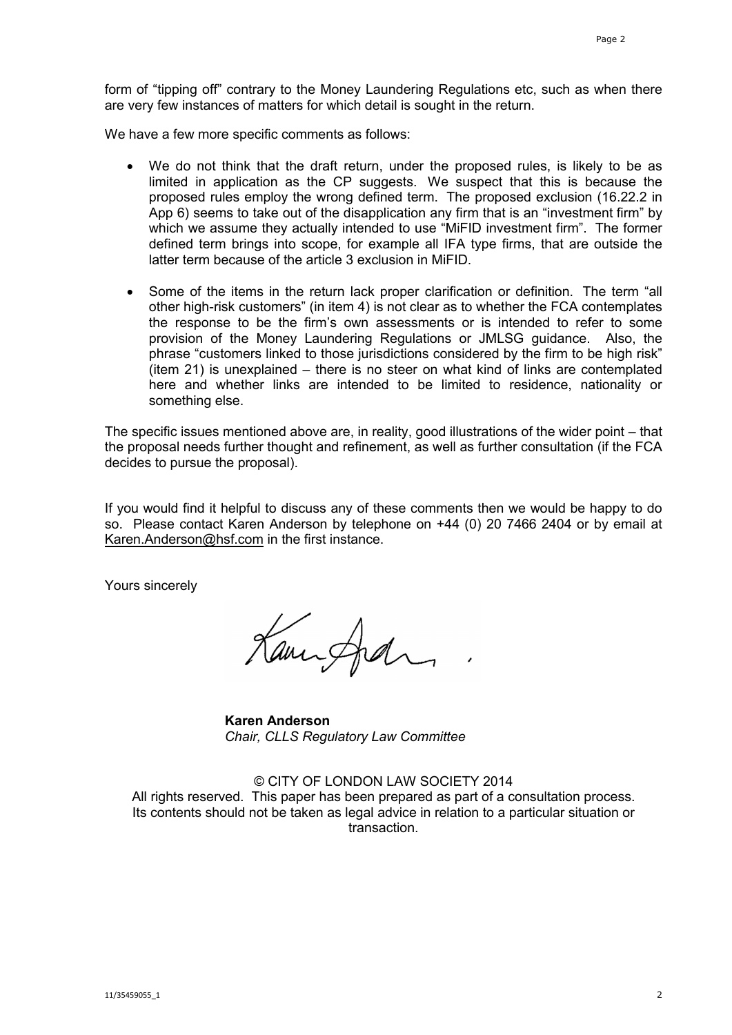form of "tipping off" contrary to the Money Laundering Regulations etc, such as when there are very few instances of matters for which detail is sought in the return.

We have a few more specific comments as follows:

- We do not think that the draft return, under the proposed rules, is likely to be as limited in application as the CP suggests. We suspect that this is because the proposed rules employ the wrong defined term. The proposed exclusion (16.22.2 in App 6) seems to take out of the disapplication any firm that is an "investment firm" by which we assume they actually intended to use "MiFID investment firm". The former defined term brings into scope, for example all IFA type firms, that are outside the latter term because of the article 3 exclusion in MiFID.
- Some of the items in the return lack proper clarification or definition. The term "all other high-risk customers" (in item 4) is not clear as to whether the FCA contemplates the response to be the firm's own assessments or is intended to refer to some provision of the Money Laundering Regulations or JMLSG guidance. Also, the phrase "customers linked to those jurisdictions considered by the firm to be high risk" (item 21) is unexplained – there is no steer on what kind of links are contemplated here and whether links are intended to be limited to residence, nationality or something else.

The specific issues mentioned above are, in reality, good illustrations of the wider point – that the proposal needs further thought and refinement, as well as further consultation (if the FCA decides to pursue the proposal).

If you would find it helpful to discuss any of these comments then we would be happy to do so. Please contact Karen Anderson by telephone on +44 (0) 20 7466 2404 or by email at [Karen.Anderson@hsf.com](mailto:Karen.Anderson@hsf.com) in the first instance.

Yours sincerely

Kampfal

**Karen Anderson** *Chair, CLLS Regulatory Law Committee*

© CITY OF LONDON LAW SOCIETY 2014 All rights reserved. This paper has been prepared as part of a consultation process. Its contents should not be taken as legal advice in relation to a particular situation or transaction.